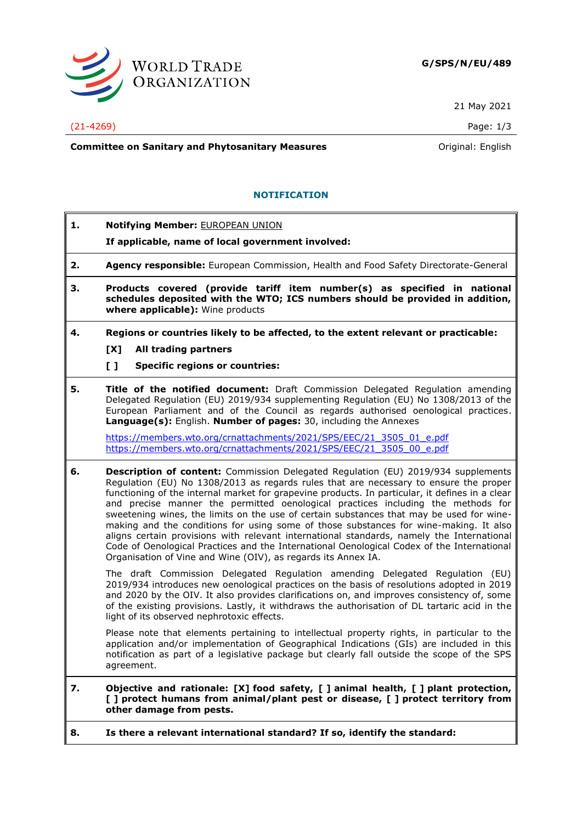

21 May 2021

(21-4269) Page: 1/3

**Committee on Sanitary and Phytosanitary Measures Committee on Sanitary and Phytosanitary Measures Committee And American** 

## **NOTIFICATION**

- **1. Notifying Member:** EUROPEAN UNION
	- **If applicable, name of local government involved:**
- **2. Agency responsible:** European Commission, Health and Food Safety Directorate-General
- **3. Products covered (provide tariff item number(s) as specified in national schedules deposited with the WTO; ICS numbers should be provided in addition, where applicable):** Wine products
- **4. Regions or countries likely to be affected, to the extent relevant or practicable:**
	- **[X] All trading partners**
	- **[ ] Specific regions or countries:**
- **5. Title of the notified document:** Draft Commission Delegated Regulation amending Delegated Regulation (EU) 2019/934 supplementing Regulation (EU) No 1308/2013 of the European Parliament and of the Council as regards authorised oenological practices. **Language(s):** English. **Number of pages:** 30, including the Annexes

[https://members.wto.org/crnattachments/2021/SPS/EEC/21\\_3505\\_01\\_e.pdf](https://members.wto.org/crnattachments/2021/SPS/EEC/21_3505_01_e.pdf) [https://members.wto.org/crnattachments/2021/SPS/EEC/21\\_3505\\_00\\_e.pdf](https://members.wto.org/crnattachments/2021/SPS/EEC/21_3505_00_e.pdf)

**6. Description of content:** Commission Delegated Regulation (EU) 2019/934 supplements Regulation (EU) No 1308/2013 as regards rules that are necessary to ensure the proper functioning of the internal market for grapevine products. In particular, it defines in a clear and precise manner the permitted oenological practices including the methods for sweetening wines, the limits on the use of certain substances that may be used for winemaking and the conditions for using some of those substances for wine-making. It also aligns certain provisions with relevant international standards, namely the International Code of Oenological Practices and the International Oenological Codex of the International Organisation of Vine and Wine (OIV), as regards its Annex IA.

The draft Commission Delegated Regulation amending Delegated Regulation (EU) 2019/934 introduces new oenological practices on the basis of resolutions adopted in 2019 and 2020 by the OIV. It also provides clarifications on, and improves consistency of, some of the existing provisions. Lastly, it withdraws the authorisation of DL tartaric acid in the light of its observed nephrotoxic effects.

Please note that elements pertaining to intellectual property rights, in particular to the application and/or implementation of Geographical Indications (GIs) are included in this notification as part of a legislative package but clearly fall outside the scope of the SPS agreement.

## **7. Objective and rationale: [X] food safety, [ ] animal health, [ ] plant protection, [ ] protect humans from animal/plant pest or disease, [ ] protect territory from other damage from pests.**

**8. Is there a relevant international standard? If so, identify the standard:**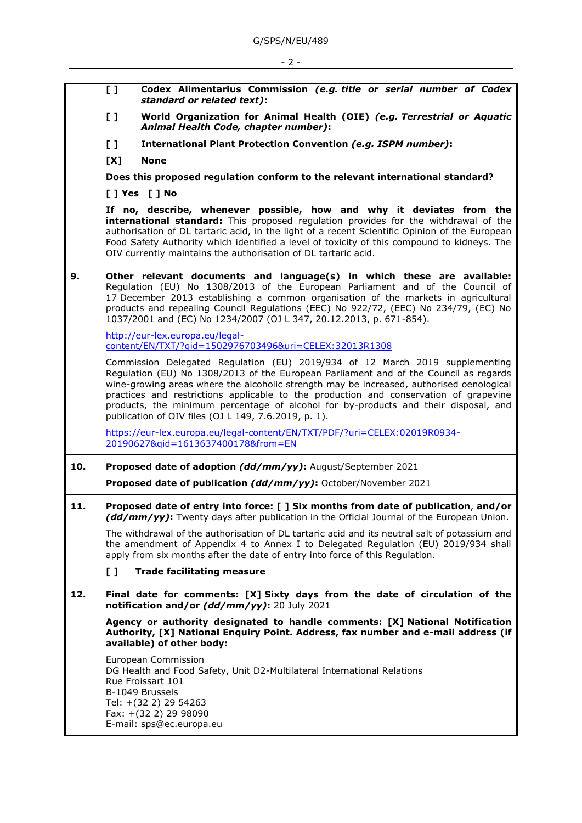**[ ] Codex Alimentarius Commission** *(e.g. title or serial number of Codex standard or related text)***: [ ] World Organization for Animal Health (OIE)** *(e.g. Terrestrial or Aquatic Animal Health Code, chapter number)***: [ ] International Plant Protection Convention** *(e.g. ISPM number)***: [X] None Does this proposed regulation conform to the relevant international standard? [ ] Yes [ ] No If no, describe, whenever possible, how and why it deviates from the international standard:** This proposed regulation provides for the withdrawal of the authorisation of DL tartaric acid, in the light of a recent Scientific Opinion of the European Food Safety Authority which identified a level of toxicity of this compound to kidneys. The OIV currently maintains the authorisation of DL tartaric acid. **9. Other relevant documents and language(s) in which these are available:** Regulation (EU) No 1308/2013 of the European Parliament and of the Council of 17 December 2013 establishing a common organisation of the markets in agricultural products and repealing Council Regulations (EEC) No 922/72, (EEC) No 234/79, (EC) No 1037/2001 and (EC) No 1234/2007 (OJ L 347, 20.12.2013, p. 671-854). [http://eur-lex.europa.eu/legal](http://eur-lex.europa.eu/legal-content/EN/TXT/?qid=1502976703496&uri=CELEX:32013R1308)[content/EN/TXT/?qid=1502976703496&uri=CELEX:32013R1308](http://eur-lex.europa.eu/legal-content/EN/TXT/?qid=1502976703496&uri=CELEX:32013R1308) Commission Delegated Regulation (EU) 2019/934 of 12 March 2019 supplementing Regulation (EU) No 1308/2013 of the European Parliament and of the Council as regards wine-growing areas where the alcoholic strength may be increased, authorised oenological practices and restrictions applicable to the production and conservation of grapevine products, the minimum percentage of alcohol for by-products and their disposal, and publication of OIV files (OJ L 149, 7.6.2019, p. 1). [https://eur-lex.europa.eu/legal-content/EN/TXT/PDF/?uri=CELEX:02019R0934-](https://eur-lex.europa.eu/legal-content/EN/TXT/PDF/?uri=CELEX:02019R0934-20190627&qid=1613637400178&from=EN) [20190627&qid=1613637400178&from=EN](https://eur-lex.europa.eu/legal-content/EN/TXT/PDF/?uri=CELEX:02019R0934-20190627&qid=1613637400178&from=EN) **10. Proposed date of adoption** *(dd/mm/yy)***:** August/September 2021 **Proposed date of publication** *(dd/mm/yy)***:** October/November 2021 **11. Proposed date of entry into force: [ ] Six months from date of publication**, **and/or** *(dd/mm/yy)***:** Twenty days after publication in the Official Journal of the European Union. The withdrawal of the authorisation of DL tartaric acid and its neutral salt of potassium and the amendment of Appendix 4 to Annex I to Delegated Regulation (EU) 2019/934 shall apply from six months after the date of entry into force of this Regulation. **[ ] Trade facilitating measure 12. Final date for comments: [X] Sixty days from the date of circulation of the notification and/or** *(dd/mm/yy)***:** 20 July 2021 **Agency or authority designated to handle comments: [X] National Notification Authority, [X] National Enquiry Point. Address, fax number and e-mail address (if available) of other body:** European Commission DG Health and Food Safety, Unit D2-Multilateral International Relations Rue Froissart 101 B-1049 Brussels Tel: +(32 2) 29 54263 Fax: +(32 2) 29 98090 E-mail: sps@ec.europa.eu